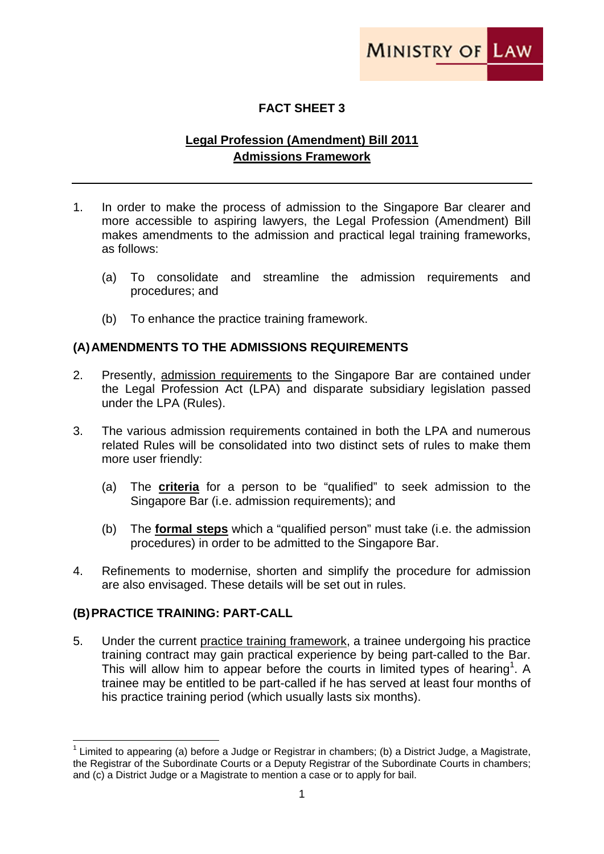

## **FACT SHEET 3**

## **Legal Profession (Amendment) Bill 2011 Admissions Framework**

- 1. In order to make the process of admission to the Singapore Bar clearer and more accessible to aspiring lawyers, the Legal Profession (Amendment) Bill makes amendments to the admission and practical legal training frameworks, as follows:
	- (a) To consolidate and streamline the admission requirements and procedures; and
	- (b) To enhance the practice training framework.

## **(A) AMENDMENTS TO THE ADMISSIONS REQUIREMENTS**

- 2. Presently, admission requirements to the Singapore Bar are contained under the Legal Profession Act (LPA) and disparate subsidiary legislation passed under the LPA (Rules).
- 3. The various admission requirements contained in both the LPA and numerous related Rules will be consolidated into two distinct sets of rules to make them more user friendly:
	- (a) The **criteria** for a person to be "qualified" to seek admission to the Singapore Bar (i.e. admission requirements); and
	- (b) The **formal steps** which a "qualified person" must take (i.e. the admission procedures) in order to be admitted to the Singapore Bar.
- 4. Refinements to modernise, shorten and simplify the procedure for admission are also envisaged. These details will be set out in rules.

## **(B) PRACTICE TRAINING: PART-CALL**

5. Under the current practice training framework, a trainee undergoing his practice training contract may gain practical experience by being part-called to the Bar. This will allow him to appear before the courts in limited types of hearing<sup>1</sup>. A trainee may be entitled to be part-called if he has served at least four months of his practice training period (which usually lasts six months).

<sup>&</sup>lt;u> Termin a shekara ta 1999 a Tarihin a Tarihin a Tarihin a Tarihin a Tarihin a Tarihin a Tarihin a Tarihin a T</u> <sup>1</sup> Limited to appearing (a) before a Judge or Registrar in chambers; (b) a District Judge, a Magistrate, the Registrar of the Subordinate Courts or a Deputy Registrar of the Subordinate Courts in chambers; and (c) a District Judge or a Magistrate to mention a case or to apply for bail.